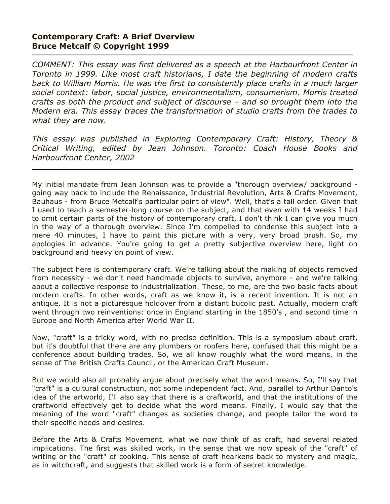## **Contemporary Craft: A Brief Overview Bruce Metcalf © Copyright 1999**

*COMMENT: This essay was first delivered as a speech at the Harbourfront Center in Toronto in 1999. Like most craft historians, I date the beginning of modern crafts back to William Morris. He was the first to consistently place crafts in a much larger social context: labor, social justice, environmentalism, consumerism. Morris treated crafts as both the product and subject of discourse – and so brought them into the Modern era. This essay traces the transformation of studio crafts from the trades to what they are now.*

*This essay was published in Exploring Contemporary Craft: History, Theory & Critical Writing, edited by Jean Johnson. Toronto: Coach House Books and Harbourfront Center, 2002*

My initial mandate from Jean Johnson was to provide a "thorough overview/ background going way back to include the Renaissance, Industrial Revolution, Arts & Crafts Movement, Bauhaus - from Bruce Metcalf's particular point of view". Well, that's a tall order. Given that I used to teach a semester-long course on the subject, and that even with 14 weeks I had to omit certain parts of the history of contemporary craft, I don't think I can give you much in the way of a thorough overview. Since I'm compelled to condense this subject into a mere 40 minutes, I have to paint this picture with a very, very broad brush. So, my apologies in advance. You're going to get a pretty subjective overview here, light on background and heavy on point of view.

The subject here is contemporary craft. We're talking about the making of objects removed from necessity - we don't need handmade objects to survive, anymore - and we're talking about a collective response to industrialization. These, to me, are the two basic facts about modern crafts. In other words, craft as we know it, is a recent invention. It is not an antique. It is not a picturesque holdover from a distant bucolic past. Actually, modern craft went through two reinventions: once in England starting in the 1850's , and second time in Europe and North America after World War II.

Now, "craft" is a tricky word, with no precise definition. This is a symposium about craft, but it's doubtful that there are any plumbers or roofers here, confused that this might be a conference about building trades. So, we all know roughly what the word means, in the sense of The British Crafts Council, or the American Craft Museum.

But we would also all probably argue about precisely what the word means. So, I'll say that "craft" is a cultural construction, not some independent fact. And, parallel to Arthur Danto's idea of the artworld, I'll also say that there is a craftworld, and that the institutions of the craftworld effectively get to decide what the word means. Finally, I would say that the meaning of the word "craft" changes as societies change, and people tailor the word to their specific needs and desires.

Before the Arts & Crafts Movement, what we now think of as craft, had several related implications. The first was skilled work, in the sense that we now speak of the "craft" of writing or the "craft" of cooking. This sense of craft hearkens back to mystery and magic, as in witchcraft, and suggests that skilled work is a form of secret knowledge.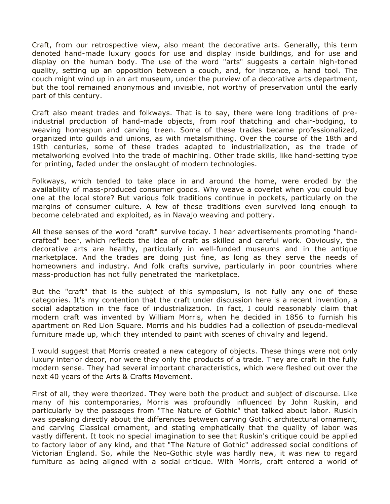Craft, from our retrospective view, also meant the decorative arts. Generally, this term denoted hand-made luxury goods for use and display inside buildings, and for use and display on the human body. The use of the word "arts" suggests a certain high-toned quality, setting up an opposition between a couch, and, for instance, a hand tool. The couch might wind up in an art museum, under the purview of a decorative arts department, but the tool remained anonymous and invisible, not worthy of preservation until the early part of this century.

Craft also meant trades and folkways. That is to say, there were long traditions of preindustrial production of hand-made objects, from roof thatching and chair-bodging, to weaving homespun and carving treen. Some of these trades became professionalized, organized into guilds and unions, as with metalsmithing. Over the course of the 18th and 19th centuries, some of these trades adapted to industrialization, as the trade of metalworking evolved into the trade of machining. Other trade skills, like hand-setting type for printing, faded under the onslaught of modern technologies.

Folkways, which tended to take place in and around the home, were eroded by the availability of mass-produced consumer goods. Why weave a coverlet when you could buy one at the local store? But various folk traditions continue in pockets, particularly on the margins of consumer culture. A few of these traditions even survived long enough to become celebrated and exploited, as in Navajo weaving and pottery.

All these senses of the word "craft" survive today. I hear advertisements promoting "handcrafted" beer, which reflects the idea of craft as skilled and careful work. Obviously, the decorative arts are healthy, particularly in well-funded museums and in the antique marketplace. And the trades are doing just fine, as long as they serve the needs of homeowners and industry. And folk crafts survive, particularly in poor countries where mass-production has not fully penetrated the marketplace.

But the "craft" that is the subject of this symposium, is not fully any one of these categories. It's my contention that the craft under discussion here is a recent invention, a social adaptation in the face of industrialization. In fact, I could reasonably claim that modern craft was invented by William Morris, when he decided in 1856 to furnish his apartment on Red Lion Square. Morris and his buddies had a collection of pseudo-medieval furniture made up, which they intended to paint with scenes of chivalry and legend.

I would suggest that Morris created a new category of objects. These things were not only luxury interior decor, nor were they only the products of a trade. They are craft in the fully modern sense. They had several important characteristics, which were fleshed out over the next 40 years of the Arts & Crafts Movement.

First of all, they were theorized. They were both the product and subject of discourse. Like many of his contemporaries, Morris was profoundly influenced by John Ruskin, and particularly by the passages from "The Nature of Gothic" that talked about labor. Ruskin was speaking directly about the differences between carving Gothic architectural ornament, and carving Classical ornament, and stating emphatically that the quality of labor was vastly different. It took no special imagination to see that Ruskin's critique could be applied to factory labor of any kind, and that "The Nature of Gothic" addressed social conditions of Victorian England. So, while the Neo-Gothic style was hardly new, it was new to regard furniture as being aligned with a social critique. With Morris, craft entered a world of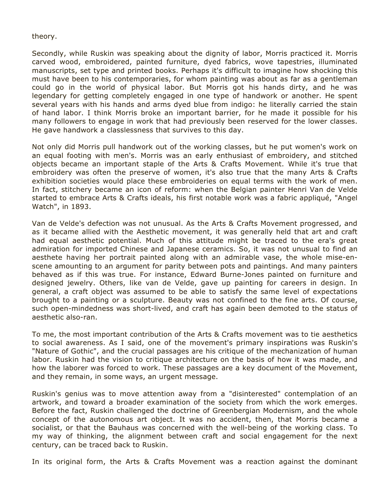## theory.

Secondly, while Ruskin was speaking about the dignity of labor, Morris practiced it. Morris carved wood, embroidered, painted furniture, dyed fabrics, wove tapestries, illuminated manuscripts, set type and printed books. Perhaps it's difficult to imagine how shocking this must have been to his contemporaries, for whom painting was about as far as a gentleman could go in the world of physical labor. But Morris got his hands dirty, and he was legendary for getting completely engaged in one type of handwork or another. He spent several years with his hands and arms dyed blue from indigo: he literally carried the stain of hand labor. I think Morris broke an important barrier, for he made it possible for his many followers to engage in work that had previously been reserved for the lower classes. He gave handwork a classlessness that survives to this day.

Not only did Morris pull handwork out of the working classes, but he put women's work on an equal footing with men's. Morris was an early enthusiast of embroidery, and stitched objects became an important staple of the Arts & Crafts Movement. While it's true that embroidery was often the preserve of women, it's also true that the many Arts & Crafts exhibition societies would place these embroideries on equal terms with the work of men. In fact, stitchery became an icon of reform: when the Belgian painter Henri Van de Velde started to embrace Arts & Crafts ideals, his first notable work was a fabric appliqué, "Angel Watch", in 1893.

Van de Velde's defection was not unusual. As the Arts & Crafts Movement progressed, and as it became allied with the Aesthetic movement, it was generally held that art and craft had equal aesthetic potential. Much of this attitude might be traced to the era's great admiration for imported Chinese and Japanese ceramics. So, it was not unusual to find an aesthete having her portrait painted along with an admirable vase, the whole mise-enscene amounting to an argument for parity between pots and paintings. And many painters behaved as if this was true. For instance, Edward Burne-Jones painted on furniture and designed jewelry. Others, like van de Velde, gave up painting for careers in design. In general, a craft object was assumed to be able to satisfy the same level of expectations brought to a painting or a sculpture. Beauty was not confined to the fine arts. Of course, such open-mindedness was short-lived, and craft has again been demoted to the status of aesthetic also-ran.

To me, the most important contribution of the Arts & Crafts movement was to tie aesthetics to social awareness. As I said, one of the movement's primary inspirations was Ruskin's "Nature of Gothic", and the crucial passages are his critique of the mechanization of human labor. Ruskin had the vision to critique architecture on the basis of how it was made, and how the laborer was forced to work. These passages are a key document of the Movement, and they remain, in some ways, an urgent message.

Ruskin's genius was to move attention away from a "disinterested" contemplation of an artwork, and toward a broader examination of the society from which the work emerges. Before the fact, Ruskin challenged the doctrine of Greenbergian Modernism, and the whole concept of the autonomous art object. It was no accident, then, that Morris became a socialist, or that the Bauhaus was concerned with the well-being of the working class. To my way of thinking, the alignment between craft and social engagement for the next century, can be traced back to Ruskin.

In its original form, the Arts & Crafts Movement was a reaction against the dominant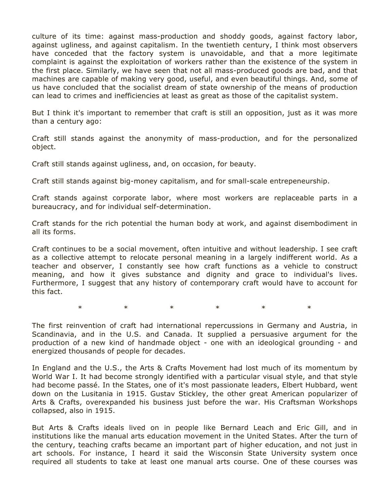culture of its time: against mass-production and shoddy goods, against factory labor, against ugliness, and against capitalism. In the twentieth century, I think most observers have conceded that the factory system is unavoidable, and that a more legitimate complaint is against the exploitation of workers rather than the existence of the system in the first place. Similarly, we have seen that not all mass-produced goods are bad, and that machines are capable of making very good, useful, and even beautiful things. And, some of us have concluded that the socialist dream of state ownership of the means of production can lead to crimes and inefficiencies at least as great as those of the capitalist system.

But I think it's important to remember that craft is still an opposition, just as it was more than a century ago:

Craft still stands against the anonymity of mass-production, and for the personalized object.

Craft still stands against ugliness, and, on occasion, for beauty.

Craft still stands against big-money capitalism, and for small-scale entrepeneurship.

Craft stands against corporate labor, where most workers are replaceable parts in a bureaucracy, and for individual self-determination.

Craft stands for the rich potential the human body at work, and against disembodiment in all its forms.

Craft continues to be a social movement, often intuitive and without leadership. I see craft as a collective attempt to relocate personal meaning in a largely indifferent world. As a teacher and observer, I constantly see how craft functions as a vehicle to construct meaning, and how it gives substance and dignity and grace to individual's lives. Furthermore, I suggest that any history of contemporary craft would have to account for this fact.

\* \* \* \* \* \* \* \* \*

The first reinvention of craft had international repercussions in Germany and Austria, in Scandinavia, and in the U.S. and Canada. It supplied a persuasive argument for the production of a new kind of handmade object - one with an ideological grounding - and energized thousands of people for decades.

In England and the U.S., the Arts & Crafts Movement had lost much of its momentum by World War I. It had become strongly identified with a particular visual style, and that style had become passé. In the States, one of it's most passionate leaders, Elbert Hubbard, went down on the Lusitania in 1915. Gustav Stickley, the other great American popularizer of Arts & Crafts, overexpanded his business just before the war. His Craftsman Workshops collapsed, also in 1915.

But Arts & Crafts ideals lived on in people like Bernard Leach and Eric Gill, and in institutions like the manual arts education movement in the United States. After the turn of the century, teaching crafts became an important part of higher education, and not just in art schools. For instance, I heard it said the Wisconsin State University system once required all students to take at least one manual arts course. One of these courses was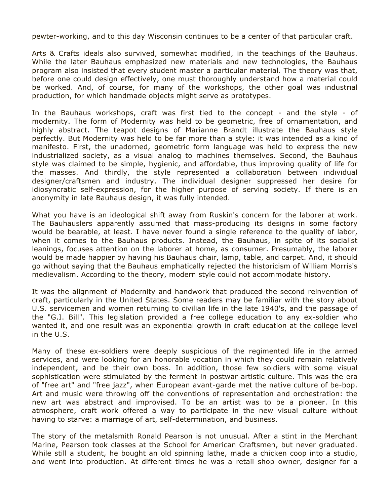pewter-working, and to this day Wisconsin continues to be a center of that particular craft.

Arts & Crafts ideals also survived, somewhat modified, in the teachings of the Bauhaus. While the later Bauhaus emphasized new materials and new technologies, the Bauhaus program also insisted that every student master a particular material. The theory was that, before one could design effectively, one must thoroughly understand how a material could be worked. And, of course, for many of the workshops, the other goal was industrial production, for which handmade objects might serve as prototypes.

In the Bauhaus workshops, craft was first tied to the concept - and the style - of modernity. The form of Modernity was held to be geometric, free of ornamentation, and highly abstract. The teapot designs of Marianne Brandt illustrate the Bauhaus style perfectly. But Modernity was held to be far more than a style: it was intended as a kind of manifesto. First, the unadorned, geometric form language was held to express the new industrialized society, as a visual analog to machines themselves. Second, the Bauhaus style was claimed to be simple, hygienic, and affordable, thus improving quality of life for the masses. And thirdly, the style represented a collaboration between individual designer/craftsmen and industry. The individual designer suppressed her desire for idiosyncratic self-expression, for the higher purpose of serving society. If there is an anonymity in late Bauhaus design, it was fully intended.

What you have is an ideological shift away from Ruskin's concern for the laborer at work. The Bauhauslers apparently assumed that mass-producing its designs in some factory would be bearable, at least. I have never found a single reference to the quality of labor, when it comes to the Bauhaus products. Instead, the Bauhaus, in spite of its socialist leanings, focuses attention on the laborer at home, as consumer. Presumably, the laborer would be made happier by having his Bauhaus chair, lamp, table, and carpet. And, it should go without saying that the Bauhaus emphatically rejected the historicism of William Morris's medievalism. According to the theory, modern style could not accommodate history.

It was the alignment of Modernity and handwork that produced the second reinvention of craft, particularly in the United States. Some readers may be familiar with the story about U.S. servicemen and women returning to civilian life in the late 1940's, and the passage of the "G.I. Bill". This legislation provided a free college education to any ex-soldier who wanted it, and one result was an exponential growth in craft education at the college level in the U.S.

Many of these ex-soldiers were deeply suspicious of the regimented life in the armed services, and were looking for an honorable vocation in which they could remain relatively independent, and be their own boss. In addition, those few soldiers with some visual sophistication were stimulated by the ferment in postwar artistic culture. This was the era of "free art" and "free jazz", when European avant-garde met the native culture of be-bop. Art and music were throwing off the conventions of representation and orchestration: the new art was abstract and improvised. To be an artist was to be a pioneer. In this atmosphere, craft work offered a way to participate in the new visual culture without having to starve: a marriage of art, self-determination, and business.

The story of the metalsmith Ronald Pearson is not unusual. After a stint in the Merchant Marine, Pearson took classes at the School for American Craftsmen, but never graduated. While still a student, he bought an old spinning lathe, made a chicken coop into a studio, and went into production. At different times he was a retail shop owner, designer for a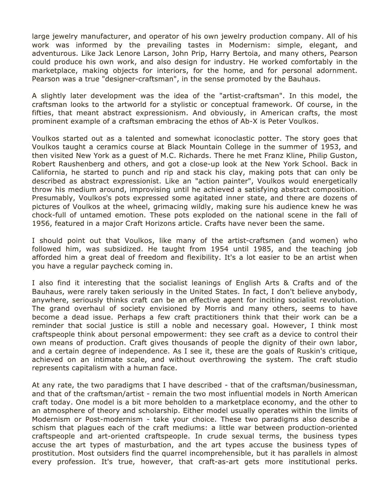large jewelry manufacturer, and operator of his own jewelry production company. All of his work was informed by the prevailing tastes in Modernism: simple, elegant, and adventurous. Like Jack Lenore Larson, John Prip, Harry Bertoia, and many others, Pearson could produce his own work, and also design for industry. He worked comfortably in the marketplace, making objects for interiors, for the home, and for personal adornment. Pearson was a true "designer-craftsman", in the sense promoted by the Bauhaus.

A slightly later development was the idea of the "artist-craftsman". In this model, the craftsman looks to the artworld for a stylistic or conceptual framework. Of course, in the fifties, that meant abstract expressionism. And obviously, in American crafts, the most prominent example of a craftsman embracing the ethos of Ab-X is Peter Voulkos.

Voulkos started out as a talented and somewhat iconoclastic potter. The story goes that Voulkos taught a ceramics course at Black Mountain College in the summer of 1953, and then visited New York as a guest of M.C. Richards. There he met Franz Kline, Philip Guston, Robert Raushenberg and others, and got a close-up look at the New York School. Back in California, he started to punch and rip and stack his clay, making pots that can only be described as abstract expressionist. Like an "action painter", Voulkos would energetically throw his medium around, improvising until he achieved a satisfying abstract composition. Presumably, Voulkos's pots expressed some agitated inner state, and there are dozens of pictures of Voulkos at the wheel, grimacing wildly, making sure his audience knew he was chock-full of untamed emotion. These pots exploded on the national scene in the fall of 1956, featured in a major Craft Horizons article. Crafts have never been the same.

I should point out that Voulkos, like many of the artist-craftsmen (and women) who followed him, was subsidized. He taught from 1954 until 1985, and the teaching job afforded him a great deal of freedom and flexibility. It's a lot easier to be an artist when you have a regular paycheck coming in.

I also find it interesting that the socialist leanings of English Arts & Crafts and of the Bauhaus, were rarely taken seriously in the United States. In fact, I don't believe anybody, anywhere, seriously thinks craft can be an effective agent for inciting socialist revolution. The grand overhaul of society envisioned by Morris and many others, seems to have become a dead issue. Perhaps a few craft practitioners think that their work can be a reminder that social justice is still a noble and necessary goal. However, I think most craftspeople think about personal empowerment: they see craft as a device to control their own means of production. Craft gives thousands of people the dignity of their own labor, and a certain degree of independence. As I see it, these are the goals of Ruskin's critique, achieved on an intimate scale, and without overthrowing the system. The craft studio represents capitalism with a human face.

At any rate, the two paradigms that I have described - that of the craftsman/businessman, and that of the craftsman/artist - remain the two most influential models in North American craft today. One model is a bit more beholden to a marketplace economy, and the other to an atmosphere of theory and scholarship. Either model usually operates within the limits of Modernism or Post-modernism - take your choice. These two paradigms also describe a schism that plagues each of the craft mediums: a little war between production-oriented craftspeople and art-oriented craftspeople. In crude sexual terms, the business types accuse the art types of masturbation, and the art types accuse the business types of prostitution. Most outsiders find the quarrel incomprehensible, but it has parallels in almost every profession. It's true, however, that craft-as-art gets more institutional perks.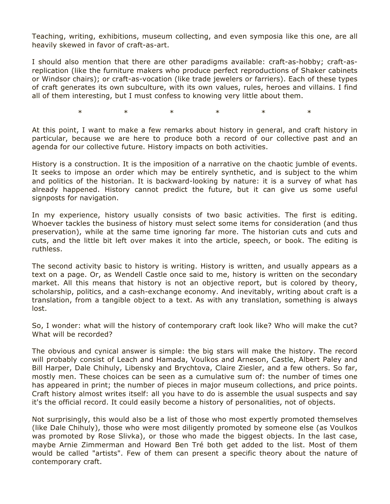Teaching, writing, exhibitions, museum collecting, and even symposia like this one, are all heavily skewed in favor of craft-as-art.

I should also mention that there are other paradigms available: craft-as-hobby; craft-asreplication (like the furniture makers who produce perfect reproductions of Shaker cabinets or Windsor chairs); or craft-as-vocation (like trade jewelers or farriers). Each of these types of craft generates its own subculture, with its own values, rules, heroes and villains. I find all of them interesting, but I must confess to knowing very little about them.

\* \* \* \* \* \* \* \* \*

At this point, I want to make a few remarks about history in general, and craft history in particular, because we are here to produce both a record of our collective past and an agenda for our collective future. History impacts on both activities.

History is a construction. It is the imposition of a narrative on the chaotic jumble of events. It seeks to impose an order which may be entirely synthetic, and is subject to the whim and politics of the historian. It is backward-looking by nature: it is a survey of what has already happened. History cannot predict the future, but it can give us some useful signposts for navigation.

In my experience, history usually consists of two basic activities. The first is editing. Whoever tackles the business of history must select some items for consideration (and thus preservation), while at the same time ignoring far more. The historian cuts and cuts and cuts, and the little bit left over makes it into the article, speech, or book. The editing is ruthless.

The second activity basic to history is writing. History is written, and usually appears as a text on a page. Or, as Wendell Castle once said to me, history is written on the secondary market. All this means that history is not an objective report, but is colored by theory, scholarship, politics, and a cash-exchange economy. And inevitably, writing about craft is a translation, from a tangible object to a text. As with any translation, something is always lost.

So, I wonder: what will the history of contemporary craft look like? Who will make the cut? What will be recorded?

The obvious and cynical answer is simple: the big stars will make the history. The record will probably consist of Leach and Hamada, Voulkos and Arneson, Castle, Albert Paley and Bill Harper, Dale Chihuly, Libensky and Brychtova, Claire Ziesler, and a few others. So far, mostly men. These choices can be seen as a cumulative sum of: the number of times one has appeared in print; the number of pieces in major museum collections, and price points. Craft history almost writes itself: all you have to do is assemble the usual suspects and say it's the official record. It could easily become a history of personalities, not of objects.

Not surprisingly, this would also be a list of those who most expertly promoted themselves (like Dale Chihuly), those who were most diligently promoted by someone else (as Voulkos was promoted by Rose Slivka), or those who made the biggest objects. In the last case, maybe Arnie Zimmerman and Howard Ben Tré both get added to the list. Most of them would be called "artists". Few of them can present a specific theory about the nature of contemporary craft.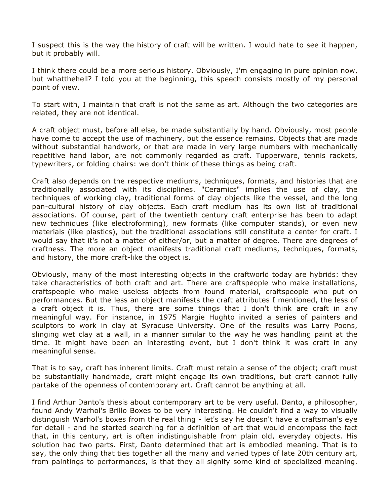I suspect this is the way the history of craft will be written. I would hate to see it happen, but it probably will.

I think there could be a more serious history. Obviously, I'm engaging in pure opinion now, but whatthehell? I told you at the beginning, this speech consists mostly of my personal point of view.

To start with, I maintain that craft is not the same as art. Although the two categories are related, they are not identical.

A craft object must, before all else, be made substantially by hand. Obviously, most people have come to accept the use of machinery, but the essence remains. Objects that are made without substantial handwork, or that are made in very large numbers with mechanically repetitive hand labor, are not commonly regarded as craft. Tupperware, tennis rackets, typewriters, or folding chairs: we don't think of these things as being craft.

Craft also depends on the respective mediums, techniques, formats, and histories that are traditionally associated with its disciplines. "Ceramics" implies the use of clay, the techniques of working clay, traditional forms of clay objects like the vessel, and the long pan-cultural history of clay objects. Each craft medium has its own list of traditional associations. Of course, part of the twentieth century craft enterprise has been to adapt new techniques (like electroforming), new formats (like computer stands), or even new materials (like plastics), but the traditional associations still constitute a center for craft. I would say that it's not a matter of either/or, but a matter of degree. There are degrees of craftness. The more an object manifests traditional craft mediums, techniques, formats, and history, the more craft-like the object is.

Obviously, many of the most interesting objects in the craftworld today are hybrids: they take characteristics of both craft and art. There are craftspeople who make installations, craftspeople who make useless objects from found material, craftspeople who put on performances. But the less an object manifests the craft attributes I mentioned, the less of a craft object it is. Thus, there are some things that I don't think are craft in any meaningful way. For instance, in 1975 Margie Hughto invited a series of painters and sculptors to work in clay at Syracuse University. One of the results was Larry Poons, slinging wet clay at a wall, in a manner similar to the way he was handling paint at the time. It might have been an interesting event, but I don't think it was craft in any meaningful sense.

That is to say, craft has inherent limits. Craft must retain a sense of the object; craft must be substantially handmade, craft might engage its own traditions, but craft cannot fully partake of the openness of contemporary art. Craft cannot be anything at all.

I find Arthur Danto's thesis about contemporary art to be very useful. Danto, a philosopher, found Andy Warhol's Brillo Boxes to be very interesting. He couldn't find a way to visually distinguish Warhol's boxes from the real thing - let's say he doesn't have a craftsman's eye for detail - and he started searching for a definition of art that would encompass the fact that, in this century, art is often indistinguishable from plain old, everyday objects. His solution had two parts. First, Danto determined that art is embodied meaning. That is to say, the only thing that ties together all the many and varied types of late 20th century art, from paintings to performances, is that they all signify some kind of specialized meaning.